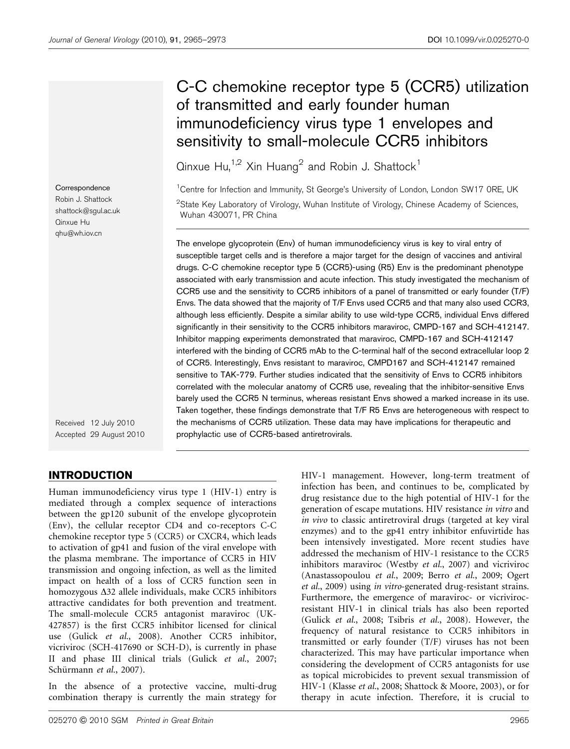# C-C chemokine receptor type 5 (CCR5) utilization of transmitted and early founder human immunodeficiency virus type 1 envelopes and sensitivity to small-molecule CCR5 inhibitors

Qinxue Hu,<sup>1,2</sup> Xin Huang<sup>2</sup> and Robin J. Shattock<sup>1</sup>

<sup>1</sup> Centre for Infection and Immunity, St George's University of London, London SW17 ORE, UK  $^{2}$ State Key Laboratory of Virology, Wuhan Institute of Virology, Chinese Academy of Sciences Wuhan 430071, PR China

The envelope glycoprotein (Env) of human immunodeficiency virus is key to viral entry of susceptible target cells and is therefore a major target for the design of vaccines and antiviral drugs. C-C chemokine receptor type 5 (CCR5)-using (R5) Env is the predominant phenotype associated with early transmission and acute infection. This study investigated the mechanism of CCR5 use and the sensitivity to CCR5 inhibitors of a panel of transmitted or early founder (T/F) Envs. The data showed that the majority of T/F Envs used CCR5 and that many also used CCR3, although less efficiently. Despite a similar ability to use wild-type CCR5, individual Envs differed significantly in their sensitivity to the CCR5 inhibitors maraviroc, CMPD-167 and SCH-412147. Inhibitor mapping experiments demonstrated that maraviroc, CMPD-167 and SCH-412147 interfered with the binding of CCR5 mAb to the C-terminal half of the second extracellular loop 2 of CCR5. Interestingly, Envs resistant to maraviroc, CMPD167 and SCH-412147 remained sensitive to TAK-779. Further studies indicated that the sensitivity of Envs to CCR5 inhibitors correlated with the molecular anatomy of CCR5 use, revealing that the inhibitor-sensitive Envs barely used the CCR5 N terminus, whereas resistant Envs showed a marked increase in its use. Taken together, these findings demonstrate that T/F R5 Envs are heterogeneous with respect to the mechanisms of CCR5 utilization. These data may have implications for therapeutic and prophylactic use of CCR5-based antiretrovirals.

Robin J. Shattock shattock@sgul.ac.uk

**Correspondence** 

Qinxue Hu qhu@wh.iov.cn

Received 12 July 2010 Accepted 29 August 2010

### INTRODUCTION

Human immunodeficiency virus type 1 (HIV-1) entry is mediated through a complex sequence of interactions between the gp120 subunit of the envelope glycoprotein (Env), the cellular receptor CD4 and co-receptors C-C chemokine receptor type 5 (CCR5) or CXCR4, which leads to activation of gp41 and fusion of the viral envelope with the plasma membrane. The importance of CCR5 in HIV transmission and ongoing infection, as well as the limited impact on health of a loss of CCR5 function seen in homozygous  $\Delta$ 32 allele individuals, make CCR5 inhibitors attractive candidates for both prevention and treatment. The small-molecule CCR5 antagonist maraviroc (UK-427857) is the first CCR5 inhibitor licensed for clinical use (Gulick et al.[, 2008\)](#page-7-0). Another CCR5 inhibitor, vicriviroc (SCH-417690 or SCH-D), is currently in phase II and phase III clinical trials (Gulick et al.[, 2007;](#page-7-0) Schürmann et al., 2007).

In the absence of a protective vaccine, multi-drug combination therapy is currently the main strategy for

025270 G 2010 SGM Printed in Great Britain 2965

HIV-1 management. However, long-term treatment of infection has been, and continues to be, complicated by drug resistance due to the high potential of HIV-1 for the generation of escape mutations. HIV resistance in vitro and in vivo to classic antiretroviral drugs (targeted at key viral enzymes) and to the gp41 entry inhibitor enfuvirtide has been intensively investigated. More recent studies have addressed the mechanism of HIV-1 resistance to the CCR5 inhibitors maraviroc [\(Westby](#page-8-0) et al., 2007) and vicriviroc ([Anastassopoulou](#page-7-0) et al., 2009; Berro et al.[, 2009;](#page-7-0) [Ogert](#page-8-0) et al.[, 2009\)](#page-8-0) using in vitro-generated drug-resistant strains. Furthermore, the emergence of maraviroc- or vicrivirocresistant HIV-1 in clinical trials has also been reported (Gulick et al.[, 2008](#page-7-0); Tsibris et al.[, 2008\)](#page-8-0). However, the frequency of natural resistance to CCR5 inhibitors in transmitted or early founder (T/F) viruses has not been characterized. This may have particular importance when considering the development of CCR5 antagonists for use as topical microbicides to prevent sexual transmission of HIV-1 [\(Klasse](#page-7-0) et al., 2008; [Shattock & Moore, 2003\)](#page-8-0), or for therapy in acute infection. Therefore, it is crucial to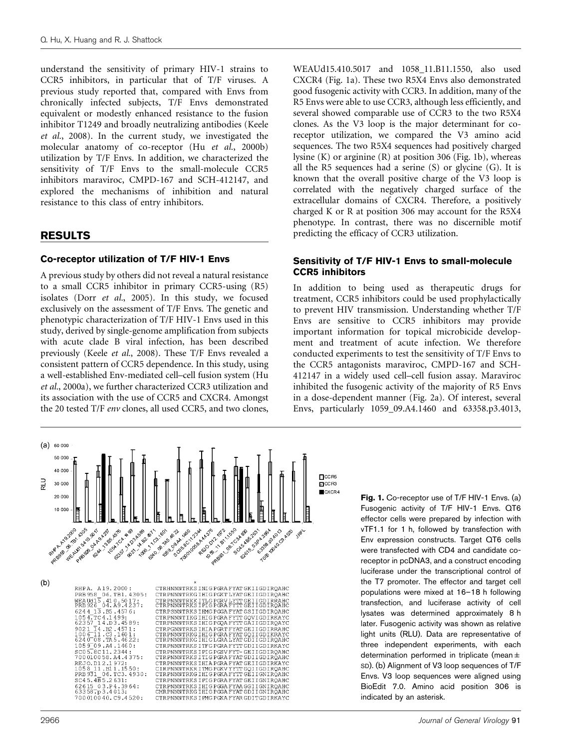understand the sensitivity of primary HIV-1 strains to CCR5 inhibitors, in particular that of T/F viruses. A previous study reported that, compared with Envs from chronically infected subjects, T/F Envs demonstrated equivalent or modestly enhanced resistance to the fusion inhibitor T1249 and broadly neutralizing antibodies ([Keele](#page-7-0) et al.[, 2008\)](#page-7-0). In the current study, we investigated the molecular anatomy of co-receptor (Hu et al.[, 2000b\)](#page-7-0) utilization by T/F Envs. In addition, we characterized the sensitivity of T/F Envs to the small-molecule CCR5 inhibitors maraviroc, CMPD-167 and SCH-412147, and explored the mechanisms of inhibition and natural resistance to this class of entry inhibitors.

#### RESULTS

#### Co-receptor utilization of T/F HIV-1 Envs

A previous study by others did not reveal a natural resistance to a small CCR5 inhibitor in primary CCR5-using (R5) isolates (Dorr et al.[, 2005](#page-7-0)). In this study, we focused exclusively on the assessment of T/F Envs. The genetic and phenotypic characterization of T/F HIV-1 Envs used in this study, derived by single-genome amplification from subjects with acute clade B viral infection, has been described previously (Keele et al.[, 2008\)](#page-7-0). These T/F Envs revealed a consistent pattern of CCR5 dependence. In this study, using a well-established Env-mediated cell–cell fusion system [\(Hu](#page-7-0) et al.[, 2000a](#page-7-0)), we further characterized CCR3 utilization and its association with the use of CCR5 and CXCR4. Amongst the 20 tested T/F env clones, all used CCR5, and two clones,

WEAUd15.410.5017 and 1058\_11.B11.1550, also used CXCR4 (Fig. 1a). These two R5X4 Envs also demonstrated good fusogenic activity with CCR3. In addition, many of the R5 Envs were able to use CCR3, although less efficiently, and several showed comparable use of CCR3 to the two R5X4 clones. As the V3 loop is the major determinant for coreceptor utilization, we compared the V3 amino acid sequences. The two R5X4 sequences had positively charged lysine (K) or arginine (R) at position 306 (Fig. 1b), whereas all the R5 sequences had a serine  $(S)$  or glycine  $(G)$ . It is known that the overall positive charge of the V3 loop is correlated with the negatively charged surface of the extracellular domains of CXCR4. Therefore, a positively charged K or R at position 306 may account for the R5X4 phenotype. In contrast, there was no discernible motif predicting the efficacy of CCR3 utilization.

#### Sensitivity of T/F HIV-1 Envs to small-molecule CCR5 inhibitors

In addition to being used as therapeutic drugs for treatment, CCR5 inhibitors could be used prophylactically to prevent HIV transmission. Understanding whether T/F Envs are sensitive to CCR5 inhibitors may provide important information for topical microbicide development and treatment of acute infection. We therefore conducted experiments to test the sensitivity of T/F Envs to the CCR5 antagonists maraviroc, CMPD-167 and SCH-412147 in a widely used cell–cell fusion assay. Maraviroc inhibited the fusogenic activity of the majority of R5 Envs in a dose-dependent manner [\(Fig. 2a\)](#page-2-0). Of interest, several Envs, particularly 1059\_09.A4.1460 and 63358.p3.4013,



Fig. 1. Co-receptor use of T/F HIV-1 Envs. (a) Fusogenic activity of T/F HIV-1 Envs. QT6 effector cells were prepared by infection with vTF1.1 for 1 h, followed by transfection with Env expression constructs. Target QT6 cells were transfected with CD4 and candidate coreceptor in pcDNA3, and a construct encoding luciferase under the transcriptional control of the T7 promoter. The effector and target cell populations were mixed at 16–18 h following transfection, and luciferase activity of cell lysates was determined approximately 8 h later. Fusogenic activity was shown as relative light units (RLU). Data are representative of three independent experiments, with each determination performed in triplicate (mean± SD). (b) Alignment of V3 loop sequences of T/F Envs. V3 loop sequences were aligned using BioEdit 7.0. Amino acid position 306 is indicated by an asterisk.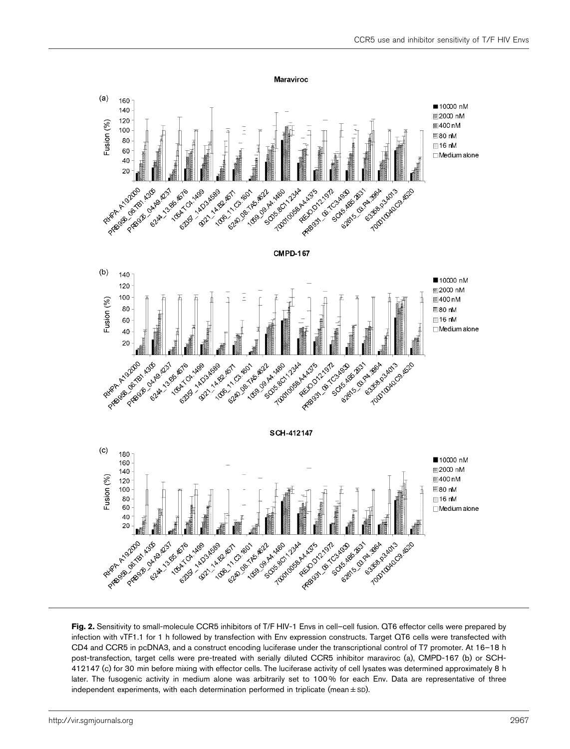<span id="page-2-0"></span>

Fig. 2. Sensitivity to small-molecule CCR5 inhibitors of T/F HIV-1 Envs in cell–cell fusion. QT6 effector cells were prepared by infection with vTF1.1 for 1 h followed by transfection with Env expression constructs. Target QT6 cells were transfected with CD4 and CCR5 in pcDNA3, and a construct encoding luciferase under the transcriptional control of T7 promoter. At 16–18 h post-transfection, target cells were pre-treated with serially diluted CCR5 inhibitor maraviroc (a), CMPD-167 (b) or SCH-412147 (c) for 30 min before mixing with effector cells. The luciferase activity of cell lysates was determined approximately 8 h later. The fusogenic activity in medium alone was arbitrarily set to 100% for each Env. Data are representative of three independent experiments, with each determination performed in triplicate (mean $\pm$ SD).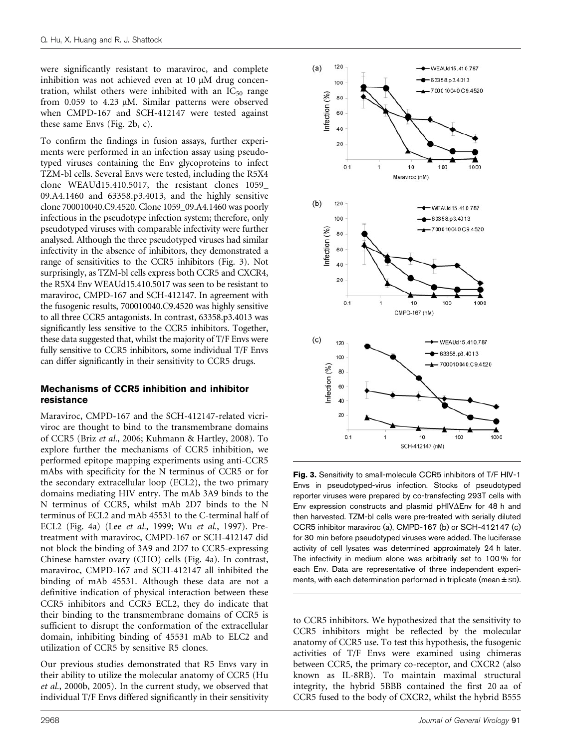were significantly resistant to maraviroc, and complete inhibition was not achieved even at  $10 \mu M$  drug concentration, whilst others were inhibited with an  $IC_{50}$  range from  $0.059$  to  $4.23 \mu M$ . Similar patterns were observed when CMPD-167 and SCH-412147 were tested against these same Envs ([Fig. 2b, c](#page-2-0)).

To confirm the findings in fusion assays, further experiments were performed in an infection assay using pseudotyped viruses containing the Env glycoproteins to infect TZM-bl cells. Several Envs were tested, including the R5X4 clone WEAUd15.410.5017, the resistant clones 1059\_ 09.A4.1460 and 63358.p3.4013, and the highly sensitive clone 700010040.C9.4520. Clone 1059\_09.A4.1460 was poorly infectious in the pseudotype infection system; therefore, only pseudotyped viruses with comparable infectivity were further analysed. Although the three pseudotyped viruses had similar infectivity in the absence of inhibitors, they demonstrated a range of sensitivities to the CCR5 inhibitors (Fig. 3). Not surprisingly, as TZM-bl cells express both CCR5 and CXCR4, the R5X4 Env WEAUd15.410.5017 was seen to be resistant to maraviroc, CMPD-167 and SCH-412147. In agreement with the fusogenic results, 700010040.C9.4520 was highly sensitive to all three CCR5 antagonists. In contrast, 63358.p3.4013 was significantly less sensitive to the CCR5 inhibitors. Together, these data suggested that, whilst the majority of T/F Envs were fully sensitive to CCR5 inhibitors, some individual T/F Envs can differ significantly in their sensitivity to CCR5 drugs.

#### Mechanisms of CCR5 inhibition and inhibitor resistance

Maraviroc, CMPD-167 and the SCH-412147-related vicriviroc are thought to bind to the transmembrane domains of CCR5 (Briz et al.[, 2006](#page-7-0); [Kuhmann & Hartley, 2008](#page-7-0)). To explore further the mechanisms of CCR5 inhibition, we performed epitope mapping experiments using anti-CCR5 mAbs with specificity for the N terminus of CCR5 or for the secondary extracellular loop (ECL2), the two primary domains mediating HIV entry. The mAb 3A9 binds to the N terminus of CCR5, whilst mAb 2D7 binds to the N terminus of ECL2 and mAb 45531 to the C-terminal half of ECL2 ([Fig. 4a](#page-5-0)) (Lee et al.[, 1999;](#page-7-0) Wu et al.[, 1997\)](#page-8-0). Pretreatment with maraviroc, CMPD-167 or SCH-412147 did not block the binding of 3A9 and 2D7 to CCR5-expressing Chinese hamster ovary (CHO) cells [\(Fig. 4a\)](#page-5-0). In contrast, maraviroc, CMPD-167 and SCH-412147 all inhibited the binding of mAb 45531. Although these data are not a definitive indication of physical interaction between these CCR5 inhibitors and CCR5 ECL2, they do indicate that their binding to the transmembrane domains of CCR5 is sufficient to disrupt the conformation of the extracellular domain, inhibiting binding of 45531 mAb to ELC2 and utilization of CCR5 by sensitive R5 clones.

Our previous studies demonstrated that R5 Envs vary in their ability to utilize the molecular anatomy of CCR5 [\(Hu](#page-7-0) et al.[, 2000b](#page-7-0), [2005\)](#page-7-0). In the current study, we observed that individual T/F Envs differed significantly in their sensitivity



Fig. 3. Sensitivity to small-molecule CCR5 inhibitors of T/F HIV-1 Envs in pseudotyped-virus infection. Stocks of pseudotyped reporter viruses were prepared by co-transfecting 293T cells with Env expression constructs and plasmid pHIV $\Delta$ Env for 48 h and then harvested. TZM-bl cells were pre-treated with serially diluted CCR5 inhibitor maraviroc (a), CMPD-167 (b) or SCH-412147 (c) for 30 min before pseudotyped viruses were added. The luciferase activity of cell lysates was determined approximately 24 h later. The infectivity in medium alone was arbitrarily set to 100 % for each Env. Data are representative of three independent experiments, with each determination performed in triplicate (mean  $\pm$  SD).

to CCR5 inhibitors. We hypothesized that the sensitivity to CCR5 inhibitors might be reflected by the molecular anatomy of CCR5 use. To test this hypothesis, the fusogenic activities of T/F Envs were examined using chimeras between CCR5, the primary co-receptor, and CXCR2 (also known as IL-8RB). To maintain maximal structural integrity, the hybrid 5BBB contained the first 20 aa of CCR5 fused to the body of CXCR2, whilst the hybrid B555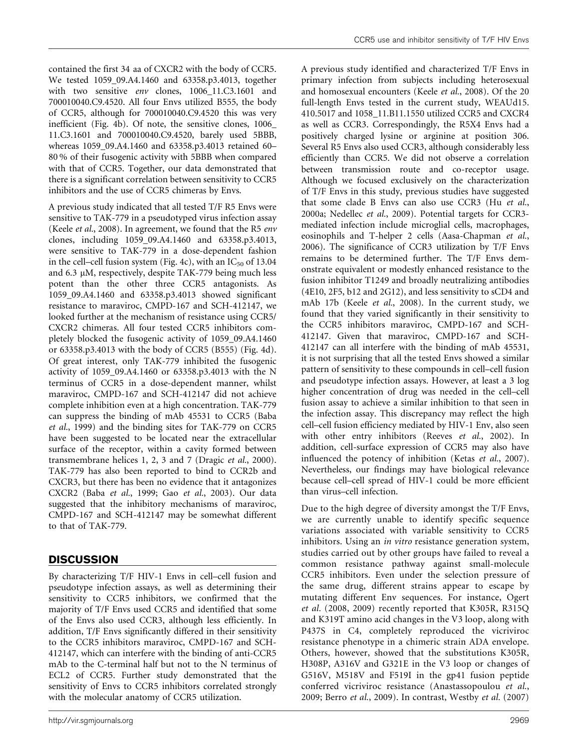contained the first 34 aa of CXCR2 with the body of CCR5. We tested 1059\_09.A4.1460 and 63358.p3.4013, together with two sensitive env clones, 1006\_11.C3.1601 and 700010040.C9.4520. All four Envs utilized B555, the body of CCR5, although for 700010040.C9.4520 this was very inefficient ([Fig. 4b](#page-5-0)). Of note, the sensitive clones, 1006\_ 11.C3.1601 and 700010040.C9.4520, barely used 5BBB, whereas 1059\_09.A4.1460 and 63358.p3.4013 retained 60– 80 % of their fusogenic activity with 5BBB when compared with that of CCR5. Together, our data demonstrated that there is a significant correlation between sensitivity to CCR5 inhibitors and the use of CCR5 chimeras by Envs.

A previous study indicated that all tested T/F R5 Envs were sensitive to TAK-779 in a pseudotyped virus infection assay (Keele et al.[, 2008\)](#page-7-0). In agreement, we found that the R5 env clones, including 1059\_09.A4.1460 and 63358.p3.4013, were sensitive to TAK-779 in a dose-dependent fashion in the cell–cell fusion system ([Fig. 4c\)](#page-5-0), with an  $IC_{50}$  of 13.04 and 6.3  $\mu$ M, respectively, despite TAK-779 being much less potent than the other three CCR5 antagonists. As 1059\_09.A4.1460 and 63358.p3.4013 showed significant resistance to maraviroc, CMPD-167 and SCH-412147, we looked further at the mechanism of resistance using CCR5/ CXCR2 chimeras. All four tested CCR5 inhibitors completely blocked the fusogenic activity of 1059\_09.A4.1460 or 63358.p3.4013 with the body of CCR5 (B555) ([Fig. 4d\)](#page-5-0). Of great interest, only TAK-779 inhibited the fusogenic activity of 1059\_09.A4.1460 or 63358.p3.4013 with the N terminus of CCR5 in a dose-dependent manner, whilst maraviroc, CMPD-167 and SCH-412147 did not achieve complete inhibition even at a high concentration. TAK-779 can suppress the binding of mAb 45531 to CCR5 [\(Baba](#page-7-0) et al.[, 1999](#page-7-0)) and the binding sites for TAK-779 on CCR5 have been suggested to be located near the extracellular surface of the receptor, within a cavity formed between transmembrane helices 1, 2, 3 and 7 ([Dragic](#page-7-0) et al., 2000). TAK-779 has also been reported to bind to CCR2b and CXCR3, but there has been no evidence that it antagonizes CXCR2 (Baba et al.[, 1999;](#page-7-0) Gao et al.[, 2003](#page-7-0)). Our data suggested that the inhibitory mechanisms of maraviroc, CMPD-167 and SCH-412147 may be somewhat different to that of TAK-779.

## **DISCUSSION**

By characterizing T/F HIV-1 Envs in cell–cell fusion and pseudotype infection assays, as well as determining their sensitivity to CCR5 inhibitors, we confirmed that the majority of T/F Envs used CCR5 and identified that some of the Envs also used CCR3, although less efficiently. In addition, T/F Envs significantly differed in their sensitivity to the CCR5 inhibitors maraviroc, CMPD-167 and SCH-412147, which can interfere with the binding of anti-CCR5 mAb to the C-terminal half but not to the N terminus of ECL2 of CCR5. Further study demonstrated that the sensitivity of Envs to CCR5 inhibitors correlated strongly with the molecular anatomy of CCR5 utilization.

A previous study identified and characterized T/F Envs in primary infection from subjects including heterosexual and homosexual encounters (Keele et al.[, 2008\)](#page-7-0). Of the 20 full-length Envs tested in the current study, WEAUd15. 410.5017 and 1058\_11.B11.1550 utilized CCR5 and CXCR4 as well as CCR3. Correspondingly, the R5X4 Envs had a positively charged lysine or arginine at position 306. Several R5 Envs also used CCR3, although considerably less efficiently than CCR5. We did not observe a correlation between transmission route and co-receptor usage. Although we focused exclusively on the characterization of T/F Envs in this study, previous studies have suggested that some clade B Envs can also use CCR3 (Hu [et al.](#page-7-0), [2000a](#page-7-0); [Nedellec](#page-7-0) et al., 2009). Potential targets for CCR3 mediated infection include microglial cells, macrophages, eosinophils and T-helper 2 cells ([Aasa-Chapman](#page-7-0) et al., [2006\)](#page-7-0). The significance of CCR3 utilization by T/F Envs remains to be determined further. The T/F Envs demonstrate equivalent or modestly enhanced resistance to the fusion inhibitor T1249 and broadly neutralizing antibodies (4E10, 2F5, b12 and 2G12), and less sensitivity to sCD4 and mAb 17b (Keele et al.[, 2008\)](#page-7-0). In the current study, we found that they varied significantly in their sensitivity to the CCR5 inhibitors maraviroc, CMPD-167 and SCH-412147. Given that maraviroc, CMPD-167 and SCH-412147 can all interfere with the binding of mAb 45531, it is not surprising that all the tested Envs showed a similar pattern of sensitivity to these compounds in cell–cell fusion and pseudotype infection assays. However, at least a 3 log higher concentration of drug was needed in the cell–cell fusion assay to achieve a similar inhibition to that seen in the infection assay. This discrepancy may reflect the high cell–cell fusion efficiency mediated by HIV-1 Env, also seen with other entry inhibitors (Reeves et al.[, 2002](#page-8-0)). In addition, cell-surface expression of CCR5 may also have influenced the potency of inhibition (Ketas et al.[, 2007\)](#page-7-0). Nevertheless, our findings may have biological relevance because cell–cell spread of HIV-1 could be more efficient than virus–cell infection.

Due to the high degree of diversity amongst the T/F Envs, we are currently unable to identify specific sequence variations associated with variable sensitivity to CCR5 inhibitors. Using an *in vitro* resistance generation system, studies carried out by other groups have failed to reveal a common resistance pathway against small-molecule CCR5 inhibitors. Even under the selection pressure of the same drug, different strains appear to escape by mutating different Env sequences. For instance, [Ogert](#page-7-0) et al. [\(2008,](#page-7-0) [2009\)](#page-8-0) recently reported that K305R, R315Q and K319T amino acid changes in the V3 loop, along with P437S in C4, completely reproduced the vicriviroc resistance phenotype in a chimeric strain ADA envelope. Others, however, showed that the substitutions K305R, H308P, A316V and G321E in the V3 loop or changes of G516V, M518V and F519I in the gp41 fusion peptide conferred vicriviroc resistance ([Anastassopoulou](#page-7-0) et al., [2009](#page-7-0); Berro et al.[, 2009](#page-7-0)). In contrast, [Westby](#page-8-0) et al. (2007)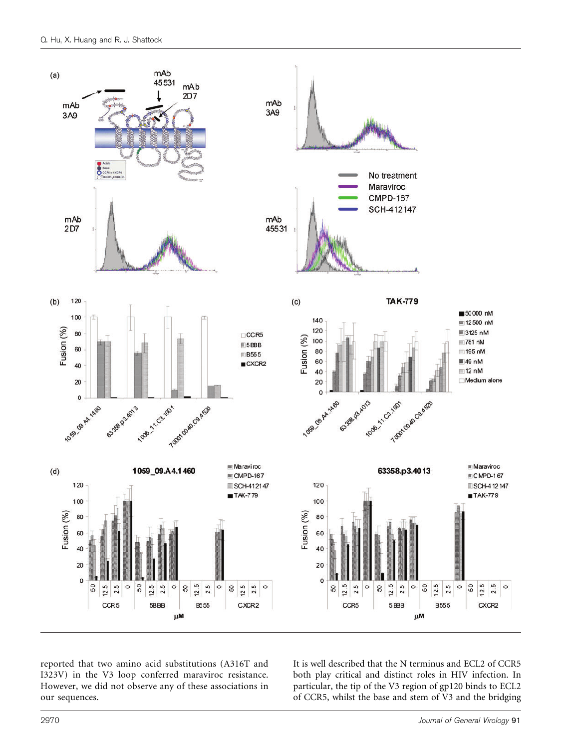<span id="page-5-0"></span>

reported that two amino acid substitutions (A316T and I323V) in the V3 loop conferred maraviroc resistance. However, we did not observe any of these associations in our sequences.

It is well described that the N terminus and ECL2 of CCR5 both play critical and distinct roles in HIV infection. In particular, the tip of the V3 region of gp120 binds to ECL2 of CCR5, whilst the base and stem of V3 and the bridging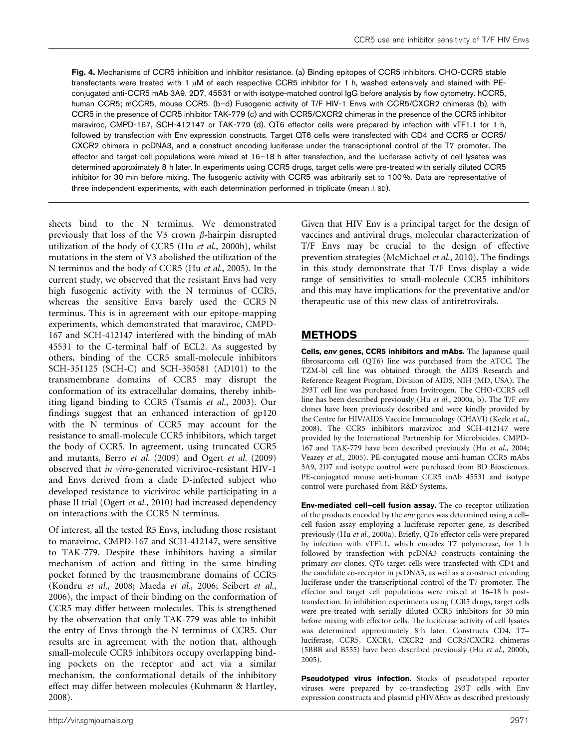Fig. 4. Mechanisms of CCR5 inhibition and inhibitor resistance. (a) Binding epitopes of CCR5 inhibitors. CHO-CCR5 stable transfectants were treated with 1  $\mu$ M of each respective CCR5 inhibitor for 1 h, washed extensively and stained with PEconjugated anti-CCR5 mAb 3A9, 2D7, 45531 or with isotype-matched control IgG before analysis by flow cytometry. hCCR5, human CCR5; mCCR5, mouse CCR5. (b-d) Fusogenic activity of T/F HIV-1 Envs with CCR5/CXCR2 chimeras (b), with CCR5 in the presence of CCR5 inhibitor TAK-779 (c) and with CCR5/CXCR2 chimeras in the presence of the CCR5 inhibitor maraviroc, CMPD-167, SCH-412147 or TAK-779 (d). QT6 effector cells were prepared by infection with vTF1.1 for 1 h, followed by transfection with Env expression constructs. Target QT6 cells were transfected with CD4 and CCR5 or CCR5/ CXCR2 chimera in pcDNA3, and a construct encoding luciferase under the transcriptional control of the T7 promoter. The effector and target cell populations were mixed at 16–18 h after transfection, and the luciferase activity of cell lysates was determined approximately 8 h later. In experiments using CCR5 drugs, target cells were pre-treated with serially diluted CCR5 inhibitor for 30 min before mixing. The fusogenic activity with CCR5 was arbitrarily set to 100 %. Data are representative of three independent experiments, with each determination performed in triplicate (mean ± sp).

sheets bind to the N terminus. We demonstrated previously that loss of the V3 crown  $\beta$ -hairpin disrupted utilization of the body of CCR5 (Hu et al.[, 2000b\)](#page-7-0), whilst mutations in the stem of V3 abolished the utilization of the N terminus and the body of CCR5 (Hu et al.[, 2005](#page-7-0)). In the current study, we observed that the resistant Envs had very high fusogenic activity with the N terminus of CCR5, whereas the sensitive Envs barely used the CCR5 N terminus. This is in agreement with our epitope-mapping experiments, which demonstrated that maraviroc, CMPD-167 and SCH-412147 interfered with the binding of mAb 45531 to the C-terminal half of ECL2. As suggested by others, binding of the CCR5 small-molecule inhibitors SCH-351125 (SCH-C) and SCH-350581 (AD101) to the transmembrane domains of CCR5 may disrupt the conformation of its extracellular domains, thereby inhibiting ligand binding to CCR5 ([Tsamis](#page-8-0) et al., 2003). Our findings suggest that an enhanced interaction of gp120 with the N terminus of CCR5 may account for the resistance to small-molecule CCR5 inhibitors, which target the body of CCR5. In agreement, using truncated CCR5 and mutants, Berro et al. [\(2009\)](#page-7-0) and Ogert et al. [\(2009\)](#page-8-0) observed that in vitro-generated vicriviroc-resistant HIV-1 and Envs derived from a clade D-infected subject who developed resistance to vicriviroc while participating in a phase II trial (Ogert et al.[, 2010](#page-8-0)) had increased dependency on interactions with the CCR5 N terminus.

Of interest, all the tested R5 Envs, including those resistant to maraviroc, CMPD-167 and SCH-412147, were sensitive to TAK-779. Despite these inhibitors having a similar mechanism of action and fitting in the same binding pocket formed by the transmembrane domains of CCR5 ([Kondru](#page-7-0) et al., 2008; [Maeda](#page-7-0) et al., 2006; [Seibert](#page-8-0) et al., [2006\)](#page-8-0), the impact of their binding on the conformation of CCR5 may differ between molecules. This is strengthened by the observation that only TAK-779 was able to inhibit the entry of Envs through the N terminus of CCR5. Our results are in agreement with the notion that, although small-molecule CCR5 inhibitors occupy overlapping binding pockets on the receptor and act via a similar mechanism, the conformational details of the inhibitory effect may differ between molecules ([Kuhmann & Hartley,](#page-7-0) [2008\)](#page-7-0).

Given that HIV Env is a principal target for the design of vaccines and antiviral drugs, molecular characterization of T/F Envs may be crucial to the design of effective prevention strategies ([McMichael](#page-7-0) et al., 2010). The findings in this study demonstrate that T/F Envs display a wide range of sensitivities to small-molecule CCR5 inhibitors and this may have implications for the preventative and/or therapeutic use of this new class of antiretrovirals.

## **METHODS**

Cells, env genes, CCR5 inhibitors and mAbs. The Japanese quail fibrosarcoma cell (QT6) line was purchased from the ATCC. The TZM-bl cell line was obtained through the AIDS Research and Reference Reagent Program, Division of AIDS, NIH (MD, USA). The 293T cell line was purchased from Invitrogen. The CHO-CCR5 cell line has been described previously (Hu et al.[, 2000a, b\)](#page-7-0). The T/F env clones have been previously described and were kindly provided by the Centre for HIV/AIDS Vaccine Immunology (CHAVI) ([Keele](#page-7-0) et al., [2008](#page-7-0)). The CCR5 inhibitors maraviroc and SCH-412147 were provided by the International Partnership for Microbicides. CMPD-167 and TAK-779 have been described previously (Hu et al.[, 2004;](#page-7-0) [Veazey](#page-8-0) et al., 2005). PE-conjugated mouse anti-human CCR5 mAbs 3A9, 2D7 and isotype control were purchased from BD Biosciences. PE-conjugated mouse anti-human CCR5 mAb 45531 and isotype control were purchased from R&D Systems.

Env-mediated cell–cell fusion assay. The co-receptor utilization of the products encoded by the env genes was determined using a cell– cell fusion assay employing a luciferase reporter gene, as described previously (Hu et al.[, 2000a\)](#page-7-0). Briefly, QT6 effector cells were prepared by infection with vTF1.1, which encodes T7 polymerase, for 1 h followed by transfection with pcDNA3 constructs containing the primary env clones. QT6 target cells were transfected with CD4 and the candidate co-receptor in pcDNA3, as well as a construct encoding luciferase under the transcriptional control of the T7 promoter. The effector and target cell populations were mixed at 16–18 h posttransfection. In inhibition experiments using CCR5 drugs, target cells were pre-treated with serially diluted CCR5 inhibitors for 30 min before mixing with effector cells. The luciferase activity of cell lysates was determined approximately 8 h later. Constructs CD4, T7– luciferase, CCR5, CXCR4, CXCR2 and CCR5/CXCR2 chimeras (5BBB and B555) have been described previously (Hu et al.[, 2000b,](#page-7-0) [2005](#page-7-0)).

Pseudotyped virus infection. Stocks of pseudotyped reporter viruses were prepared by co-transfecting 293T cells with Env expression constructs and plasmid  $pHIV\Delta Env$  as described previously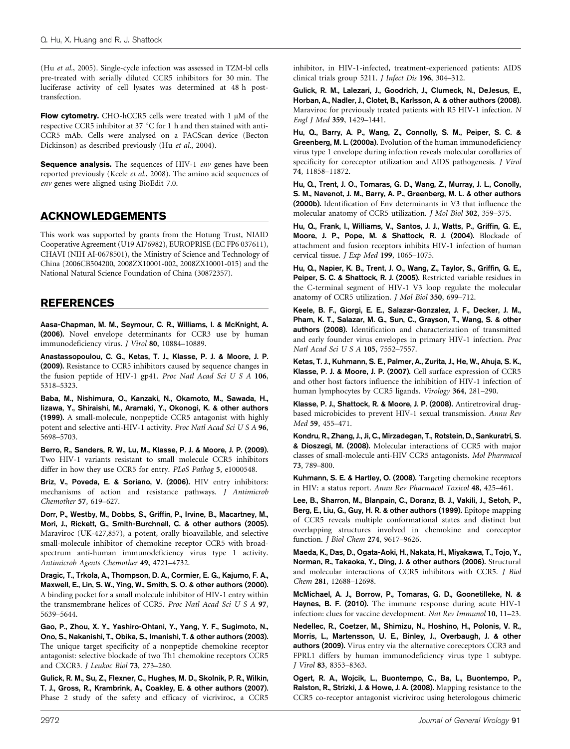<span id="page-7-0"></span>(Hu et al., 2005). Single-cycle infection was assessed in TZM-bl cells pre-treated with serially diluted CCR5 inhibitors for 30 min. The luciferase activity of cell lysates was determined at 48 h posttransfection.

Flow cytometry. CHO-hCCR5 cells were treated with  $1 \mu M$  of the respective CCR5 inhibitor at 37 °C for 1 h and then stained with anti-CCR5 mAb. Cells were analysed on a FACScan device (Becton Dickinson) as described previously (Hu et al., 2004).

**Sequence analysis.** The sequences of HIV-1 env genes have been reported previously (Keele et al., 2008). The amino acid sequences of env genes were aligned using BioEdit 7.0.

## ACKNOWLEDGEMENTS

This work was supported by grants from the Hotung Trust, NIAID Cooperative Agreement (U19 AI76982), EUROPRISE (EC FP6 037611), CHAVI (NIH AI-0678501), the Ministry of Science and Technology of China (2006CB504200, 2008ZX10001-002, 2008ZX10001-015) and the National Natural Science Foundation of China (30872357).

## REFERENCES

Aasa-Chapman, M. M., Seymour, C. R., Williams, I. & McKnight, A. (2006). Novel envelope determinants for CCR3 use by human immunodeficiency virus. J Virol 80, 10884–10889.

Anastassopoulou, C. G., Ketas, T. J., Klasse, P. J. & Moore, J. P. (2009). Resistance to CCR5 inhibitors caused by sequence changes in the fusion peptide of HIV-1 gp41. Proc Natl Acad Sci U S A 106, 5318–5323.

Baba, M., Nishimura, O., Kanzaki, N., Okamoto, M., Sawada, H., Iizawa, Y., Shiraishi, M., Aramaki, Y., Okonogi, K. & other authors (1999). A small-molecule, nonpeptide CCR5 antagonist with highly potent and selective anti-HIV-1 activity. Proc Natl Acad Sci U S A 96, 5698–5703.

Berro, R., Sanders, R. W., Lu, M., Klasse, P. J. & Moore, J. P. (2009). Two HIV-1 variants resistant to small molecule CCR5 inhibitors differ in how they use CCR5 for entry. PLoS Pathog 5, e1000548.

Briz, V., Poveda, E. & Soriano, V. (2006). HIV entry inhibitors: mechanisms of action and resistance pathways. J Antimicrob Chemother 57, 619–627.

Dorr, P., Westby, M., Dobbs, S., Griffin, P., Irvine, B., Macartney, M., Mori, J., Rickett, G., Smith-Burchnell, C. & other authors (2005). Maraviroc (UK-427,857), a potent, orally bioavailable, and selective small-molecule inhibitor of chemokine receptor CCR5 with broadspectrum anti-human immunodeficiency virus type 1 activity. Antimicrob Agents Chemother 49, 4721–4732.

Dragic, T., Trkola, A., Thompson, D. A., Cormier, E. G., Kajumo, F. A., Maxwell, E., Lin, S. W., Ying, W., Smith, S. O. & other authors (2000). A binding pocket for a small molecule inhibitor of HIV-1 entry within the transmembrane helices of CCR5. Proc Natl Acad Sci U S A 97, 5639–5644.

Gao, P., Zhou, X. Y., Yashiro-Ohtani, Y., Yang, Y. F., Sugimoto, N., Ono, S., Nakanishi, T., Obika, S., Imanishi, T. & other authors (2003). The unique target specificity of a nonpeptide chemokine receptor antagonist: selective blockade of two Th1 chemokine receptors CCR5 and CXCR3. J Leukoc Biol 73, 273–280.

Gulick, R. M., Su, Z., Flexner, C., Hughes, M. D., Skolnik, P. R., Wilkin, T. J., Gross, R., Krambrink, A., Coakley, E. & other authors (2007). Phase 2 study of the safety and efficacy of vicriviroc, a CCR5 inhibitor, in HIV-1-infected, treatment-experienced patients: AIDS clinical trials group 5211. J Infect Dis 196, 304–312.

Gulick, R. M., Lalezari, J., Goodrich, J., Clumeck, N., DeJesus, E., Horban, A., Nadler, J., Clotet, B., Karlsson, A. & other authors (2008). Maraviroc for previously treated patients with R5 HIV-1 infection. N Engl J Med 359, 1429–1441.

Hu, Q., Barry, A. P., Wang, Z., Connolly, S. M., Peiper, S. C. & Greenberg, M. L. (2000a). Evolution of the human immunodeficiency virus type 1 envelope during infection reveals molecular corollaries of specificity for coreceptor utilization and AIDS pathogenesis. J Virol 74, 11858–11872.

Hu, Q., Trent, J. O., Tomaras, G. D., Wang, Z., Murray, J. L., Conolly, S. M., Navenot, J. M., Barry, A. P., Greenberg, M. L. & other authors (2000b). Identification of Env determinants in V3 that influence the molecular anatomy of CCR5 utilization. J Mol Biol 302, 359–375.

Hu, Q., Frank, I., Williams, V., Santos, J. J., Watts, P., Griffin, G. E., Moore, J. P., Pope, M. & Shattock, R. J. (2004). Blockade of attachment and fusion receptors inhibits HIV-1 infection of human cervical tissue. J Exp Med 199, 1065–1075.

Hu, Q., Napier, K. B., Trent, J. O., Wang, Z., Taylor, S., Griffin, G. E., Peiper, S. C. & Shattock, R. J. (2005). Restricted variable residues in the C-terminal segment of HIV-1 V3 loop regulate the molecular anatomy of CCR5 utilization. J Mol Biol 350, 699–712.

Keele, B. F., Giorgi, E. E., Salazar-Gonzalez, J. F., Decker, J. M., Pham, K. T., Salazar, M. G., Sun, C., Grayson, T., Wang, S. & other authors (2008). Identification and characterization of transmitted and early founder virus envelopes in primary HIV-1 infection. Proc Natl Acad Sci U S A 105, 7552–7557.

Ketas, T. J., Kuhmann, S. E., Palmer, A., Zurita, J., He, W., Ahuja, S. K., Klasse, P. J. & Moore, J. P. (2007). Cell surface expression of CCR5 and other host factors influence the inhibition of HIV-1 infection of human lymphocytes by CCR5 ligands. Virology 364, 281–290.

Klasse, P. J., Shattock, R. & Moore, J. P. (2008). Antiretroviral drugbased microbicides to prevent HIV-1 sexual transmission. Annu Rev Med 59, 455–471.

Kondru, R., Zhang, J., Ji, C., Mirzadegan, T., Rotstein, D., Sankuratri, S. & Dioszegi, M. (2008). Molecular interactions of CCR5 with major classes of small-molecule anti-HIV CCR5 antagonists. Mol Pharmacol 73, 789–800.

Kuhmann, S. E. & Hartley, O. (2008). Targeting chemokine receptors in HIV: a status report. Annu Rev Pharmacol Toxicol 48, 425–461.

Lee, B., Sharron, M., Blanpain, C., Doranz, B. J., Vakili, J., Setoh, P., Berg, E., Liu, G., Guy, H. R. & other authors (1999). Epitope mapping of CCR5 reveals multiple conformational states and distinct but overlapping structures involved in chemokine and coreceptor function. J Biol Chem 274, 9617–9626.

Maeda, K., Das, D., Ogata-Aoki, H., Nakata, H., Miyakawa, T., Tojo, Y., Norman, R., Takaoka, Y., Ding, J. & other authors (2006). Structural and molecular interactions of CCR5 inhibitors with CCR5. J Biol Chem 281, 12688–12698.

McMichael, A. J., Borrow, P., Tomaras, G. D., Goonetilleke, N. & Haynes, B. F. (2010). The immune response during acute HIV-1 infection: clues for vaccine development. Nat Rev Immunol 10, 11–23.

Nedellec, R., Coetzer, M., Shimizu, N., Hoshino, H., Polonis, V. R., Morris, L., Martensson, U. E., Binley, J., Overbaugh, J. & other authors (2009). Virus entry via the alternative coreceptors CCR3 and FPRL1 differs by human immunodeficiency virus type 1 subtype. J Virol 83, 8353–8363.

Ogert, R. A., Wojcik, L., Buontempo, C., Ba, L., Buontempo, P., Ralston, R., Strizki, J. & Howe, J. A. (2008). Mapping resistance to the CCR5 co-receptor antagonist vicriviroc using heterologous chimeric